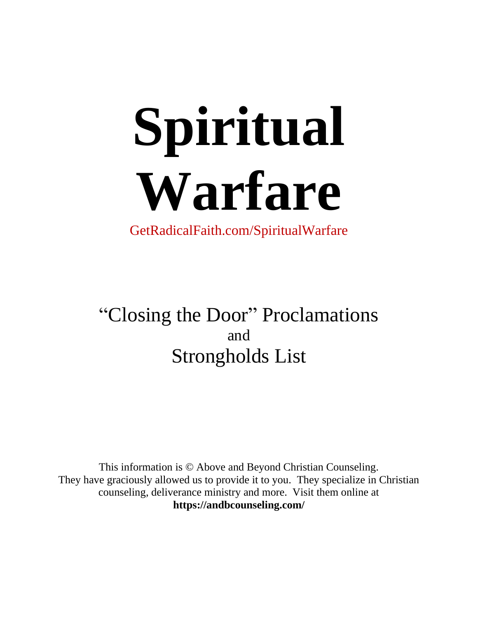# **Spiritual Warfare**

GetRadicalFaith.com/SpiritualWarfare

"Closing the Door" Proclamations and Strongholds List

This information is © Above and Beyond Christian Counseling. They have graciously allowed us to provide it to you. They specialize in Christian counseling, deliverance ministry and more. Visit them online at **https://andbcounseling.com/**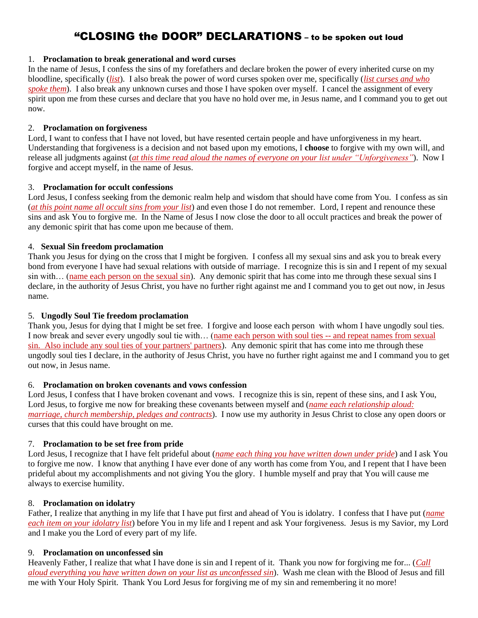# "CLOSING the DOOR" DECLARATIONS – to be spoken out loud

### 1. **Proclamation to break generational and word curses**

In the name of Jesus, I confess the sins of my forefathers and declare broken the power of every inherited curse on my bloodline, specifically (*list*). I also break the power of word curses spoken over me, specifically (*list curses and who spoke them*). I also break any unknown curses and those I have spoken over myself. I cancel the assignment of every spirit upon me from these curses and declare that you have no hold over me, in Jesus name, and I command you to get out now.

# 2. **Proclamation on forgiveness**

Lord, I want to confess that I have not loved, but have resented certain people and have unforgiveness in my heart. Understanding that forgiveness is a decision and not based upon my emotions, I **choose** to forgive with my own will, and release all judgments against (*at this time read aloud the names of everyone on your list under "Unforgiveness"*). Now I forgive and accept myself, in the name of Jesus.

# 3. **Proclamation for occult confessions**

Lord Jesus, I confess seeking from the demonic realm help and wisdom that should have come from You. I confess as sin (*at this point name all occult sins from your list*) and even those I do not remember. Lord, I repent and renounce these sins and ask You to forgive me. In the Name of Jesus I now close the door to all occult practices and break the power of any demonic spirit that has come upon me because of them.

# 4. **Sexual Sin freedom proclamation**

Thank you Jesus for dying on the cross that I might be forgiven. I confess all my sexual sins and ask you to break every bond from everyone I have had sexual relations with outside of marriage. I recognize this is sin and I repent of my sexual sin with… (name each person on the sexual sin). Any demonic spirit that has come into me through these sexual sins I declare, in the authority of Jesus Christ, you have no further right against me and I command you to get out now, in Jesus name.

# 5. **Ungodly Soul Tie freedom proclamation**

Thank you, Jesus for dying that I might be set free. I forgive and loose each person with whom I have ungodly soul ties. I now break and sever every ungodly soul tie with… (name each person with soul ties -- and repeat names from sexual sin. Also include any soul ties of your partners' partners). Any demonic spirit that has come into me through these ungodly soul ties I declare, in the authority of Jesus Christ, you have no further right against me and I command you to get out now, in Jesus name.

#### 6. **Proclamation on broken covenants and vows confession**

Lord Jesus, I confess that I have broken covenant and vows. I recognize this is sin, repent of these sins, and I ask You, Lord Jesus, to forgive me now for breaking these covenants between myself and (*name each relationship aloud: marriage, church membership, pledges and contracts*). I now use my authority in Jesus Christ to close any open doors or curses that this could have brought on me.

# 7. **Proclamation to be set free from pride**

Lord Jesus, I recognize that I have felt prideful about (*name each thing you have written down under pride*) and I ask You to forgive me now. I know that anything I have ever done of any worth has come from You, and I repent that I have been prideful about my accomplishments and not giving You the glory. I humble myself and pray that You will cause me always to exercise humility.

#### 8. **Proclamation on idolatry**

Father, I realize that anything in my life that I have put first and ahead of You is idolatry. I confess that I have put (*name each item on your idolatry list*) before You in my life and I repent and ask Your forgiveness. Jesus is my Savior, my Lord and I make you the Lord of every part of my life.

#### 9. **Proclamation on unconfessed sin**

Heavenly Father, I realize that what I have done is sin and I repent of it. Thank you now for forgiving me for... (*Call aloud everything you have written down on your list as unconfessed sin*). Wash me clean with the Blood of Jesus and fill me with Your Holy Spirit. Thank You Lord Jesus for forgiving me of my sin and remembering it no more!